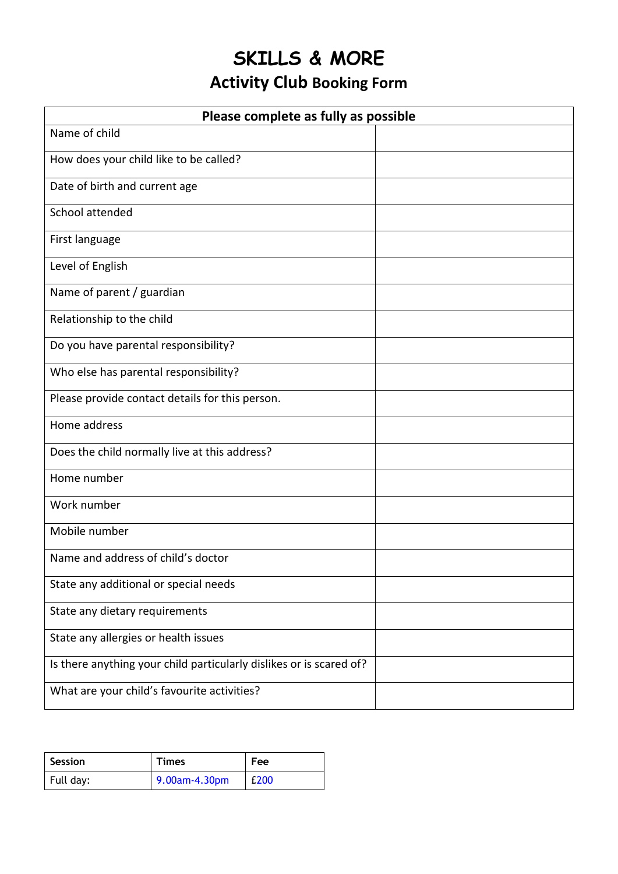## **SKILLS & MORE**

## **Activity Club Booking Form**

| Please complete as fully as possible                                |  |  |  |  |  |  |
|---------------------------------------------------------------------|--|--|--|--|--|--|
| Name of child                                                       |  |  |  |  |  |  |
| How does your child like to be called?                              |  |  |  |  |  |  |
| Date of birth and current age                                       |  |  |  |  |  |  |
| School attended                                                     |  |  |  |  |  |  |
| First language                                                      |  |  |  |  |  |  |
| Level of English                                                    |  |  |  |  |  |  |
| Name of parent / guardian                                           |  |  |  |  |  |  |
| Relationship to the child                                           |  |  |  |  |  |  |
| Do you have parental responsibility?                                |  |  |  |  |  |  |
| Who else has parental responsibility?                               |  |  |  |  |  |  |
| Please provide contact details for this person.                     |  |  |  |  |  |  |
| Home address                                                        |  |  |  |  |  |  |
| Does the child normally live at this address?                       |  |  |  |  |  |  |
| Home number                                                         |  |  |  |  |  |  |
| Work number                                                         |  |  |  |  |  |  |
| Mobile number                                                       |  |  |  |  |  |  |
| Name and address of child's doctor                                  |  |  |  |  |  |  |
| State any additional or special needs                               |  |  |  |  |  |  |
| State any dietary requirements                                      |  |  |  |  |  |  |
| State any allergies or health issues                                |  |  |  |  |  |  |
| Is there anything your child particularly dislikes or is scared of? |  |  |  |  |  |  |
| What are your child's favourite activities?                         |  |  |  |  |  |  |

| Session   | <b>Times</b>  | Fee  |  |  |
|-----------|---------------|------|--|--|
| Full day: | 9.00am-4.30pm | £200 |  |  |